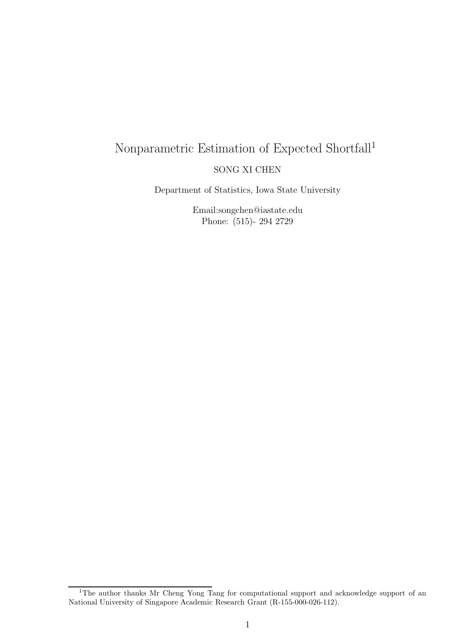# Nonparametric Estimation of Expected Shortfall<sup>1</sup> SONG XI CHEN

Department of Statistics, Iowa State University

Email:songchen@iastate.edu Phone: (515)- 294 2729

<sup>&</sup>lt;sup>1</sup>The author thanks Mr Cheng Yong Tang for computational support and acknowledge support of an National University of Singapore Academic Research Grant (R-155-000-026-112).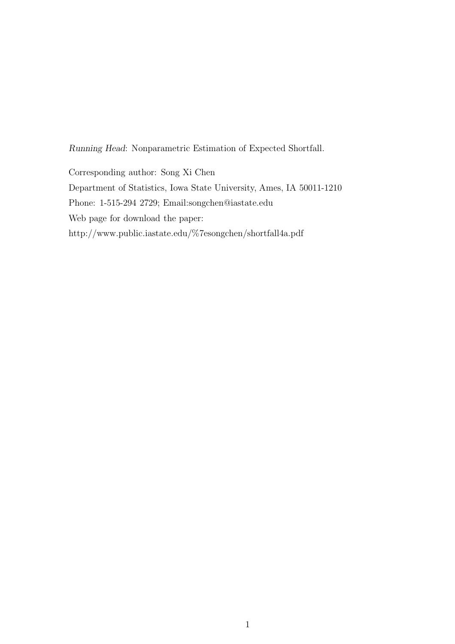Running Head: Nonparametric Estimation of Expected Shortfall.

Corresponding author: Song Xi Chen Department of Statistics, Iowa State University, Ames, IA 50011-1210 Phone: 1-515-294 2729; Email:songchen@iastate.edu Web page for download the paper: http://www.public.iastate.edu/%7esongchen/shortfall4a.pdf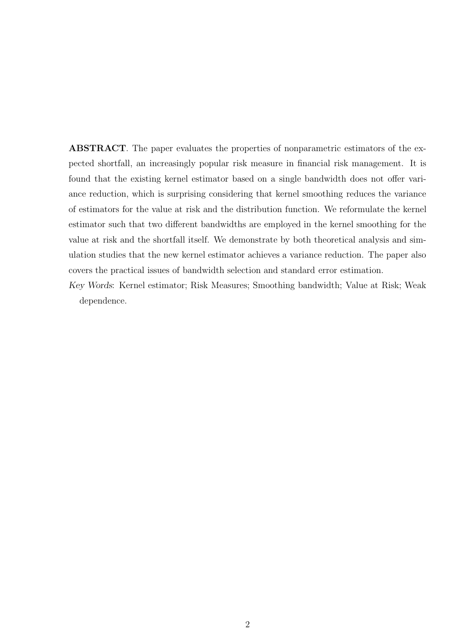ABSTRACT. The paper evaluates the properties of nonparametric estimators of the expected shortfall, an increasingly popular risk measure in financial risk management. It is found that the existing kernel estimator based on a single bandwidth does not offer variance reduction, which is surprising considering that kernel smoothing reduces the variance of estimators for the value at risk and the distribution function. We reformulate the kernel estimator such that two different bandwidths are employed in the kernel smoothing for the value at risk and the shortfall itself. We demonstrate by both theoretical analysis and simulation studies that the new kernel estimator achieves a variance reduction. The paper also covers the practical issues of bandwidth selection and standard error estimation.

Key Words: Kernel estimator; Risk Measures; Smoothing bandwidth; Value at Risk; Weak dependence.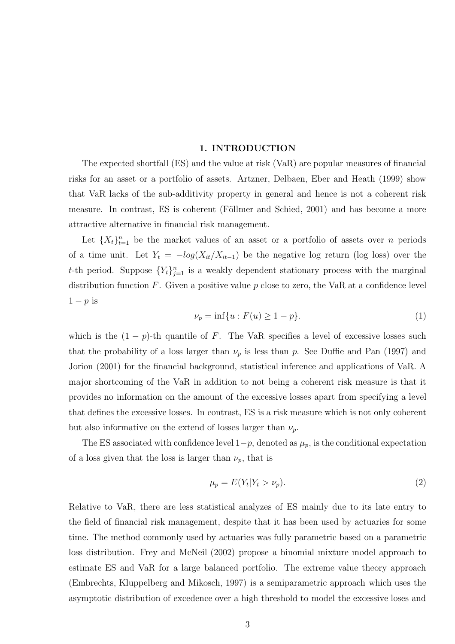## 1. INTRODUCTION

The expected shortfall (ES) and the value at risk (VaR) are popular measures of financial risks for an asset or a portfolio of assets. Artzner, Delbaen, Eber and Heath (1999) show that VaR lacks of the sub-additivity property in general and hence is not a coherent risk measure. In contrast, ES is coherent (Föllmer and Schied, 2001) and has become a more attractive alternative in financial risk management.

Let  $\{X_t\}_{t=1}^n$  be the market values of an asset or a portfolio of assets over n periods of a time unit. Let  $Y_t = -log(X_{it}/X_{it-1})$  be the negative log return (log loss) over the t-th period. Suppose  ${Y_t}_{j=1}^n$  is a weakly dependent stationary process with the marginal distribution function  $F$ . Given a positive value  $p$  close to zero, the VaR at a confidence level  $1-p$  is

$$
\nu_p = \inf\{u : F(u) \ge 1 - p\}.\tag{1}
$$

which is the  $(1 - p)$ -th quantile of F. The VaR specifies a level of excessive losses such that the probability of a loss larger than  $\nu_p$  is less than p. See Duffie and Pan (1997) and Jorion (2001) for the financial background, statistical inference and applications of VaR. A major shortcoming of the VaR in addition to not being a coherent risk measure is that it provides no information on the amount of the excessive losses apart from specifying a level that defines the excessive losses. In contrast, ES is a risk measure which is not only coherent but also informative on the extend of losses larger than  $\nu_p$ .

The ES associated with confidence level  $1-p$ , denoted as  $\mu_p$ , is the conditional expectation of a loss given that the loss is larger than  $\nu_p$ , that is

$$
\mu_p = E(Y_t | Y_t > \nu_p). \tag{2}
$$

Relative to VaR, there are less statistical analyzes of ES mainly due to its late entry to the field of financial risk management, despite that it has been used by actuaries for some time. The method commonly used by actuaries was fully parametric based on a parametric loss distribution. Frey and McNeil (2002) propose a binomial mixture model approach to estimate ES and VaR for a large balanced portfolio. The extreme value theory approach (Embrechts, Kluppelberg and Mikosch, 1997) is a semiparametric approach which uses the asymptotic distribution of excedence over a high threshold to model the excessive loses and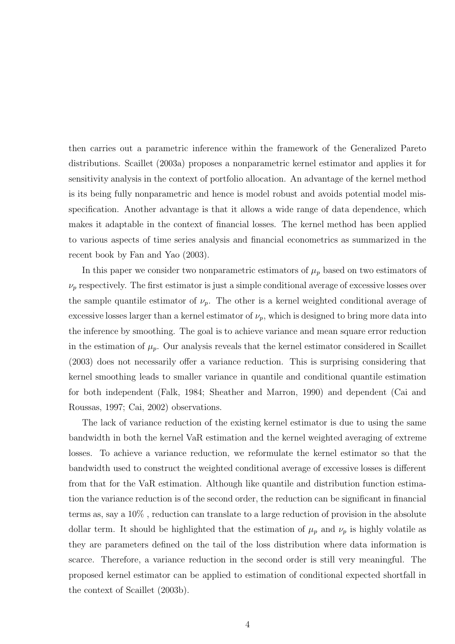then carries out a parametric inference within the framework of the Generalized Pareto distributions. Scaillet (2003a) proposes a nonparametric kernel estimator and applies it for sensitivity analysis in the context of portfolio allocation. An advantage of the kernel method is its being fully nonparametric and hence is model robust and avoids potential model misspecification. Another advantage is that it allows a wide range of data dependence, which makes it adaptable in the context of financial losses. The kernel method has been applied to various aspects of time series analysis and financial econometrics as summarized in the recent book by Fan and Yao (2003).

In this paper we consider two nonparametric estimators of  $\mu_p$  based on two estimators of  $\nu_p$  respectively. The first estimator is just a simple conditional average of excessive losses over the sample quantile estimator of  $\nu_p$ . The other is a kernel weighted conditional average of excessive losses larger than a kernel estimator of  $\nu_p$ , which is designed to bring more data into the inference by smoothing. The goal is to achieve variance and mean square error reduction in the estimation of  $\mu_p$ . Our analysis reveals that the kernel estimator considered in Scaillet (2003) does not necessarily offer a variance reduction. This is surprising considering that kernel smoothing leads to smaller variance in quantile and conditional quantile estimation for both independent (Falk, 1984; Sheather and Marron, 1990) and dependent (Cai and Roussas, 1997; Cai, 2002) observations.

The lack of variance reduction of the existing kernel estimator is due to using the same bandwidth in both the kernel VaR estimation and the kernel weighted averaging of extreme losses. To achieve a variance reduction, we reformulate the kernel estimator so that the bandwidth used to construct the weighted conditional average of excessive losses is different from that for the VaR estimation. Although like quantile and distribution function estimation the variance reduction is of the second order, the reduction can be significant in financial terms as, say a 10% , reduction can translate to a large reduction of provision in the absolute dollar term. It should be highlighted that the estimation of  $\mu_p$  and  $\nu_p$  is highly volatile as they are parameters defined on the tail of the loss distribution where data information is scarce. Therefore, a variance reduction in the second order is still very meaningful. The proposed kernel estimator can be applied to estimation of conditional expected shortfall in the context of Scaillet (2003b).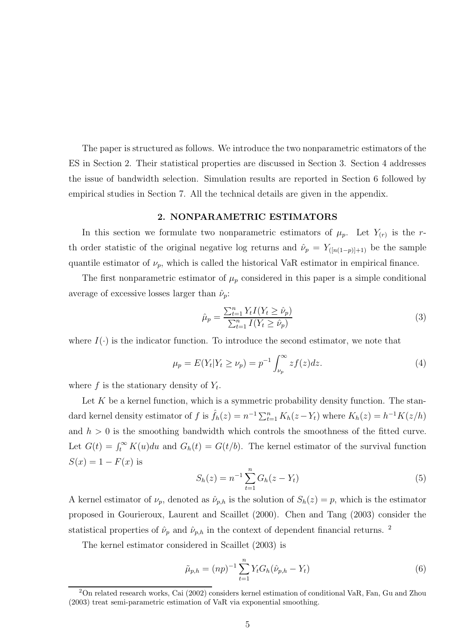The paper is structured as follows. We introduce the two nonparametric estimators of the ES in Section 2. Their statistical properties are discussed in Section 3. Section 4 addresses the issue of bandwidth selection. Simulation results are reported in Section 6 followed by empirical studies in Section 7. All the technical details are given in the appendix.

## 2. NONPARAMETRIC ESTIMATORS

In this section we formulate two nonparametric estimators of  $\mu_p$ . Let  $Y_{(r)}$  is the rth order statistic of the original negative log returns and  $\hat{\nu}_p = Y_{([n(1-p)]+1)}$  be the sample quantile estimator of  $\nu_p$ , which is called the historical VaR estimator in empirical finance.

The first nonparametric estimator of  $\mu_p$  considered in this paper is a simple conditional average of excessive losses larger than  $\hat{\nu}_p$ :

$$
\hat{\mu}_p = \frac{\sum_{t=1}^n Y_t I(Y_t \ge \hat{\nu}_p)}{\sum_{t=1}^n I(Y_t \ge \hat{\nu}_p)}
$$
\n(3)

where  $I(\cdot)$  is the indicator function. To introduce the second estimator, we note that

$$
\mu_p = E(Y_t | Y_t \ge \nu_p) = p^{-1} \int_{\nu_p}^{\infty} z f(z) dz.
$$
 (4)

where  $f$  is the stationary density of  $Y_t$ .

Let  $K$  be a kernel function, which is a symmetric probability density function. The standard kernel density estimator of f is  $\hat{f}_h(z) = n^{-1} \sum_{t=1}^n K_h(z - Y_t)$  where  $K_h(z) = h^{-1}K(z/h)$ and  $h > 0$  is the smoothing bandwidth which controls the smoothness of the fitted curve. Let  $G(t) = \int_t^{\infty} K(u)du$  and  $G_h(t) = G(t/b)$ . The kernel estimator of the survival function  $S(x) = 1 - F(x)$  is

$$
S_h(z) = n^{-1} \sum_{t=1}^n G_h(z - Y_t)
$$
\n(5)

A kernel estimator of  $\nu_p$ , denoted as  $\hat{\nu}_{p,h}$  is the solution of  $S_h(z) = p$ , which is the estimator proposed in Gourieroux, Laurent and Scaillet (2000). Chen and Tang (2003) consider the statistical properties of  $\hat{\nu}_p$  and  $\hat{\nu}_{p,h}$  in the context of dependent financial returns. <sup>2</sup>

The kernel estimator considered in Scaillet (2003) is

$$
\tilde{\mu}_{p,h} = (np)^{-1} \sum_{t=1}^{n} Y_t G_h(\hat{\nu}_{p,h} - Y_t)
$$
\n(6)

<sup>2</sup>On related research works, Cai (2002) considers kernel estimation of conditional VaR, Fan, Gu and Zhou (2003) treat semi-parametric estimation of VaR via exponential smoothing.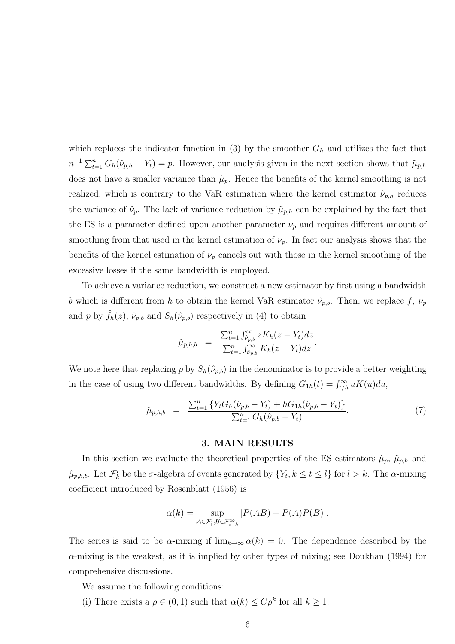which replaces the indicator function in (3) by the smoother  $G_h$  and utilizes the fact that  $n^{-1} \sum_{t=1}^{n} G_h(\hat{\nu}_{p,h} - Y_t) = p$ . However, our analysis given in the next section shows that  $\tilde{\mu}_{p,h}$ does not have a smaller variance than  $\hat{\mu}_p$ . Hence the benefits of the kernel smoothing is not realized, which is contrary to the VaR estimation where the kernel estimator  $\hat{\nu}_{p,h}$  reduces the variance of  $\hat{\nu}_p$ . The lack of variance reduction by  $\tilde{\mu}_{p,h}$  can be explained by the fact that the ES is a parameter defined upon another parameter  $\nu_p$  and requires different amount of smoothing from that used in the kernel estimation of  $\nu_p$ . In fact our analysis shows that the benefits of the kernel estimation of  $\nu_p$  cancels out with those in the kernel smoothing of the excessive losses if the same bandwidth is employed.

To achieve a variance reduction, we construct a new estimator by first using a bandwidth b which is different from h to obtain the kernel VaR estimator  $\hat{\nu}_{p,b}$ . Then, we replace f,  $\nu_p$ and p by  $\hat{f}_h(z)$ ,  $\hat{\nu}_{p,b}$  and  $S_h(\hat{\nu}_{p,b})$  respectively in (4) to obtain

$$
\hat{\mu}_{p,h,b} = \frac{\sum_{t=1}^{n} \int_{\hat{\nu}_{p,b}}^{\infty} z K_h(z - Y_t) dz}{\sum_{t=1}^{n} \int_{\hat{\nu}_{p,b}}^{\infty} K_h(z - Y_t) dz}.
$$

We note here that replacing p by  $S_h(\hat{\nu}_{p,b})$  in the denominator is to provide a better weighting in the case of using two different bandwidths. By defining  $G_{1h}(t) = \int_{t/h}^{\infty} uK(u)du$ ,

$$
\hat{\mu}_{p,h,b} = \frac{\sum_{t=1}^{n} \{ Y_t G_h (\hat{\nu}_{p,b} - Y_t) + h G_{1h} (\hat{\nu}_{p,b} - Y_t) \}}{\sum_{t=1}^{n} G_h (\hat{\nu}_{p,b} - Y_t)}.
$$
\n(7)

#### 3. MAIN RESULTS

In this section we evaluate the theoretical properties of the ES estimators  $\hat{\mu}_p$ ,  $\tilde{\mu}_{p,h}$  and  $\hat{\mu}_{p,h,b}$ . Let  $\mathcal{F}_{k}^{l}$  be the  $\sigma$ -algebra of events generated by  $\{Y_t, k \leq t \leq l\}$  for  $l > k$ . The  $\alpha$ -mixing coefficient introduced by Rosenblatt (1956) is

$$
\alpha(k) = \sup_{\mathcal{A} \in \mathcal{F}_1^i, \mathcal{B} \in \mathcal{F}_{i+k}^{\infty}} |P(AB) - P(A)P(B)|.
$$

The series is said to be  $\alpha$ -mixing if  $\lim_{k\to\infty} \alpha(k) = 0$ . The dependence described by the  $\alpha$ -mixing is the weakest, as it is implied by other types of mixing; see Doukhan (1994) for comprehensive discussions.

We assume the following conditions:

(i) There exists a  $\rho \in (0,1)$  such that  $\alpha(k) \leq C \rho^k$  for all  $k \geq 1$ .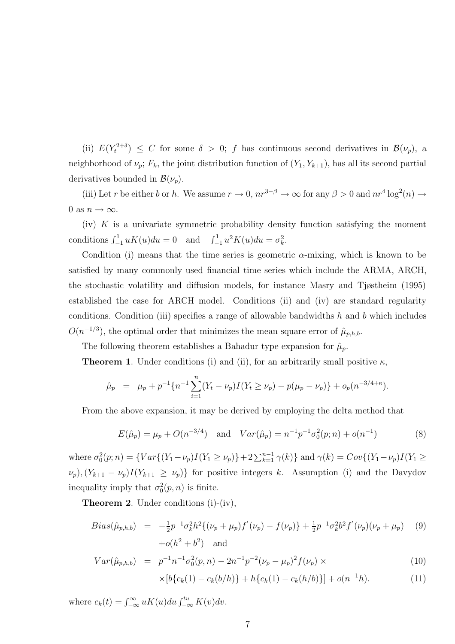(ii)  $E(Y_t^{2+\delta}) \leq C$  for some  $\delta > 0$ ; f has continuous second derivatives in  $\mathcal{B}(\nu_p)$ , a neighborhood of  $\nu_p$ ;  $F_k$ , the joint distribution function of  $(Y_1, Y_{k+1})$ , has all its second partial derivatives bounded in  $\mathcal{B}(\nu_p)$ .

(iii) Let r be either b or h. We assume  $r \to 0$ ,  $nr^{3-\beta} \to \infty$  for any  $\beta > 0$  and  $nr^4 \log^2(n) \to$ 0 as  $n \to \infty$ .

(iv)  $K$  is a univariate symmetric probability density function satisfying the moment conditions  $\int_{-1}^{1} uK(u)du = 0$  and  $\int_{-1}^{1} u^2K(u)du = \sigma_k^2$ .

Condition (i) means that the time series is geometric  $\alpha$ -mixing, which is known to be satisfied by many commonly used financial time series which include the ARMA, ARCH, the stochastic volatility and diffusion models, for instance Masry and Tjøstheim (1995) established the case for ARCH model. Conditions (ii) and (iv) are standard regularity conditions. Condition (iii) specifies a range of allowable bandwidths  $h$  and  $b$  which includes  $O(n^{-1/3})$ , the optimal order that minimizes the mean square error of  $\hat{\mu}_{p,h,b}$ .

The following theorem establishes a Bahadur type expansion for  $\hat{\mu}_p$ .

**Theorem 1.** Under conditions (i) and (ii), for an arbitrarily small positive  $\kappa$ ,

$$
\hat{\mu}_p = \mu_p + p^{-1} \{ n^{-1} \sum_{i=1}^n (Y_t - \nu_p) I(Y_t \ge \nu_p) - p(\mu_p - \nu_p) \} + o_p(n^{-3/4 + \kappa}).
$$

From the above expansion, it may be derived by employing the delta method that

$$
E(\hat{\mu}_p) = \mu_p + O(n^{-3/4}) \quad \text{and} \quad Var(\hat{\mu}_p) = n^{-1} p^{-1} \sigma_0^2(p; n) + o(n^{-1}) \tag{8}
$$

where  $\sigma_0^2(p; n) = \{Var\{(Y_1 - \nu_p)I(Y_1 \ge \nu_p)\} + 2\sum_{k=1}^{n-1} \gamma(k)\}\$  and  $\gamma(k) = Cov\{(Y_1 - \nu_p)I(Y_1 \ge \nu_p)\}$  $\nu_p$ ,  $(Y_{k+1} - \nu_p)I(Y_{k+1} \geq \nu_p)$  for positive integers k. Assumption (i) and the Davydov inequality imply that  $\sigma_0^2(p, n)$  is finite.

Theorem 2. Under conditions (i)-(iv),

$$
Bias(\hat{\mu}_{p,h,b}) = -\frac{1}{2}p^{-1}\sigma_k^2h^2\{(\nu_p + \mu_p)f'(\nu_p) - f(\nu_p)\} + \frac{1}{2}p^{-1}\sigma_k^2b^2f'(\nu_p)(\nu_p + \mu_p) \tag{9}
$$
  
+ $o(h^2 + b^2)$  and

$$
Var(\hat{\mu}_{p,h,b}) = p^{-1}n^{-1}\sigma_0^2(p,n) - 2n^{-1}p^{-2}(\nu_p - \mu_p)^2 f(\nu_p) \times
$$
\n(10)

$$
\times [b\{c_k(1) - c_k(b/h)\} + h\{c_k(1) - c_k(h/b)\}] + o(n^{-1}h). \tag{11}
$$

where  $c_k(t) = \int_{-\infty}^{\infty} uK(u)du \int_{-\infty}^{tu} K(v)dv$ .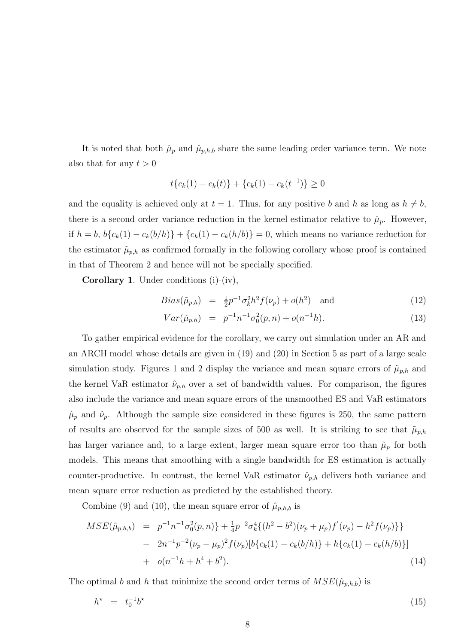It is noted that both  $\hat{\mu}_p$  and  $\hat{\mu}_{p,h,b}$  share the same leading order variance term. We note also that for any  $t > 0$ 

$$
t\{c_k(1) - c_k(t)\} + \{c_k(1) - c_k(t^{-1})\} \ge 0
$$

and the equality is achieved only at  $t = 1$ . Thus, for any positive b and h as long as  $h \neq b$ , there is a second order variance reduction in the kernel estimator relative to  $\hat{\mu}_p$ . However, if  $h = b$ ,  $b{c_k(1) - c_k(b/h)} + {c_k(1) - c_k(h/b)} = 0$ , which means no variance reduction for the estimator  $\tilde{\mu}_{p,h}$  as confirmed formally in the following corollary whose proof is contained in that of Theorem 2 and hence will not be specially specified.

Corollary 1. Under conditions (i)-(iv),

$$
Bias(\tilde{\mu}_{p,h}) = \frac{1}{2}p^{-1}\sigma_k^2 h^2 f(\nu_p) + o(h^2) \text{ and } (12)
$$

$$
Var(\tilde{\mu}_{p,h}) = p^{-1}n^{-1}\sigma_0^2(p,n) + o(n^{-1}h). \tag{13}
$$

To gather empirical evidence for the corollary, we carry out simulation under an AR and an ARCH model whose details are given in (19) and (20) in Section 5 as part of a large scale simulation study. Figures 1 and 2 display the variance and mean square errors of  $\tilde{\mu}_{p,h}$  and the kernel VaR estimator  $\hat{\nu}_{p,h}$  over a set of bandwidth values. For comparison, the figures also include the variance and mean square errors of the unsmoothed ES and VaR estimators  $\hat{\mu}_p$  and  $\hat{\nu}_p$ . Although the sample size considered in these figures is 250, the same pattern of results are observed for the sample sizes of 500 as well. It is striking to see that  $\tilde{\mu}_{p,h}$ has larger variance and, to a large extent, larger mean square error too than  $\hat{\mu}_p$  for both models. This means that smoothing with a single bandwidth for ES estimation is actually counter-productive. In contrast, the kernel VaR estimator  $\hat{\nu}_{p,h}$  delivers both variance and mean square error reduction as predicted by the established theory.

Combine (9) and (10), the mean square error of  $\hat{\mu}_{p,h,b}$  is

$$
MSE(\hat{\mu}_{p,h,b}) = p^{-1}n^{-1}\sigma_0^2(p,n) + \frac{1}{4}p^{-2}\sigma_k^4\{(h^2 - b^2)(\nu_p + \mu_p)f'(\nu_p) - h^2f(\nu_p)\}\}- 2n^{-1}p^{-2}(\nu_p - \mu_p)^2f(\nu_p)[b\{c_k(1) - c_k(b/h)\} + h\{c_k(1) - c_k(h/b)\}]+ o(n^{-1}h + h^4 + b^2).
$$
\n(14)

The optimal b and h that minimize the second order terms of  $MSE(\hat{\mu}_{p,h,b})$  is

$$
h^* = t_0^{-1}b^* \tag{15}
$$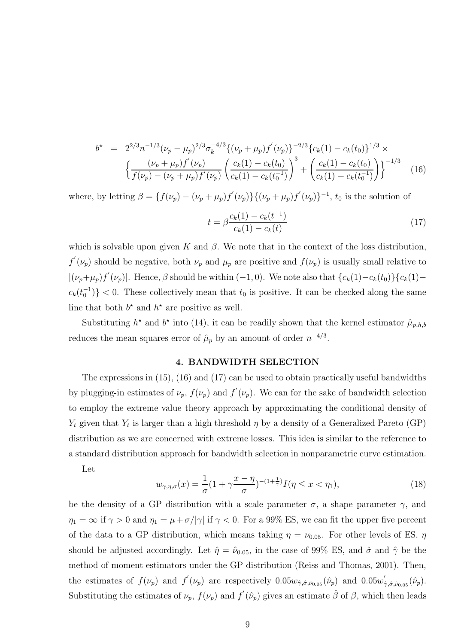$$
b^* = 2^{2/3} n^{-1/3} (\nu_p - \mu_p)^{2/3} \sigma_k^{-4/3} \{ (\nu_p + \mu_p) f'(\nu_p) \}^{-2/3} \{ c_k(1) - c_k(t_0) \}^{1/3} \times \left\{ \frac{(\nu_p + \mu_p) f'(\nu_p)}{f(\nu_p) - (\nu_p + \mu_p) f'(\nu_p)} \left( \frac{c_k(1) - c_k(t_0)}{c_k(1) - c_k(t_0)} \right)^3 + \left( \frac{c_k(1) - c_k(t_0)}{c_k(1) - c_k(t_0^{-1})} \right) \right\}^{-1/3}
$$
(16)

where, by letting  $\beta = \{f(\nu_p) - (\nu_p + \mu_p)f'(\nu_p)\}\{(\nu_p + \mu_p)f'(\nu_p)\}^{-1}$ ,  $t_0$  is the solution of

$$
t = \beta \frac{c_k(1) - c_k(t^{-1})}{c_k(1) - c_k(t)}\tag{17}
$$

which is solvable upon given K and  $\beta$ . We note that in the context of the loss distribution,  $f'(\nu_p)$  should be negative, both  $\nu_p$  and  $\mu_p$  are positive and  $f(\nu_p)$  is usually small relative to  $|(\nu_p + \mu_p)f'(\nu_p)|$ . Hence,  $\beta$  should be within  $(-1, 0)$ . We note also that  ${c_k(1) - c_k(t_0)}{c_k(1) - c_k(t_0)}$  $c_k(t_0^{-1})$  < 0. These collectively mean that  $t_0$  is positive. It can be checked along the same line that both  $b^*$  and  $h^*$  are positive as well.

Substituting  $h^*$  and  $b^*$  into (14), it can be readily shown that the kernel estimator  $\hat{\mu}_{p,h,b}$ reduces the mean squares error of  $\hat{\mu}_p$  by an amount of order  $n^{-4/3}$ .

#### 4. BANDWIDTH SELECTION

The expressions in (15), (16) and (17) can be used to obtain practically useful bandwidths by plugging-in estimates of  $\nu_p$ ,  $f(\nu_p)$  and  $f'(\nu_p)$ . We can for the sake of bandwidth selection to employ the extreme value theory approach by approximating the conditional density of  $Y_t$  given that  $Y_t$  is larger than a high threshold  $\eta$  by a density of a Generalized Pareto (GP) distribution as we are concerned with extreme losses. This idea is similar to the reference to a standard distribution approach for bandwidth selection in nonparametric curve estimation.

Let

$$
w_{\gamma,\eta,\sigma}(x) = \frac{1}{\sigma} (1 + \gamma \frac{x - \eta}{\sigma})^{-(1 + \frac{1}{\gamma})} I(\eta \le x < \eta_1),\tag{18}
$$

be the density of a GP distribution with a scale parameter  $\sigma$ , a shape parameter  $\gamma$ , and  $\eta_1 = \infty$  if  $\gamma > 0$  and  $\eta_1 = \mu + \sigma/|\gamma|$  if  $\gamma < 0$ . For a 99% ES, we can fit the upper five percent of the data to a GP distribution, which means taking  $\eta = \nu_{0.05}$ . For other levels of ES,  $\eta$ should be adjusted accordingly. Let  $\hat{\eta} = \hat{\nu}_{0.05}$ , in the case of 99% ES, and  $\hat{\sigma}$  and  $\hat{\gamma}$  be the method of moment estimators under the GP distribution (Reiss and Thomas, 2001). Then, the estimates of  $f(\nu_p)$  and  $f'(\nu_p)$  are respectively  $0.05w_{\hat{r},\hat{\sigma},\hat{\nu}_{0.05}}(\hat{\nu}_p)$  and  $0.05w'_z$  $\hat{\gamma}_{,\hat{\sigma},\hat{\nu}_{0.05}}(\hat{\nu}_p).$ Substituting the estimates of  $\nu_p$ ,  $f(\nu_p)$  and  $f'(\hat{\nu}_p)$  gives an estimate  $\hat{\beta}$  of  $\beta$ , which then leads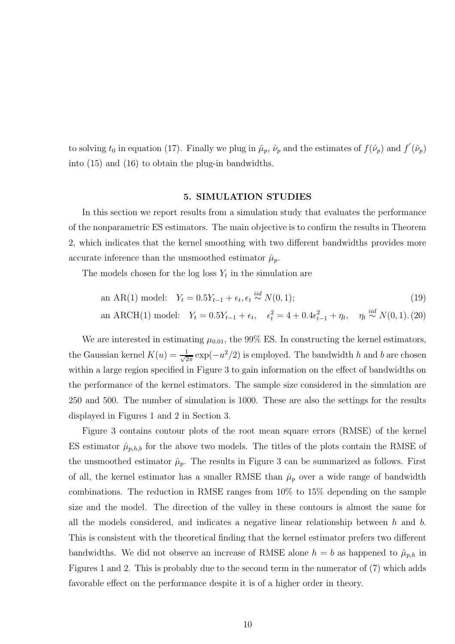to solving  $t_0$  in equation (17). Finally we plug in  $\hat{\mu}_p$ ,  $\hat{\nu}_p$  and the estimates of  $f(\hat{\nu}_p)$  and  $f'(\hat{\nu}_p)$ into (15) and (16) to obtain the plug-in bandwidths.

## 5. SIMULATION STUDIES

In this section we report results from a simulation study that evaluates the performance of the nonparametric ES estimators. The main objective is to confirm the results in Theorem 2, which indicates that the kernel smoothing with two different bandwidths provides more accurate inference than the unsmoothed estimator  $\hat{\mu}_p$ .

The models chosen for the log loss  $Y_t$  in the simulation are

an AR(1) model: 
$$
Y_t = 0.5Y_{t-1} + \epsilon_t, \epsilon_t \stackrel{iid}{\sim} N(0, 1);
$$
 (19)  
an ARCH(1) model:  $Y_t = 0.5Y_{t-1} + \epsilon_t, \quad \epsilon_t^2 = 4 + 0.4\epsilon_{t-1}^2 + \eta_t, \quad \eta_t \stackrel{iid}{\sim} N(0, 1).$  (20)

We are interested in estimating  $\mu_{0.01}$ , the 99% ES. In constructing the kernel estimators, the Gaussian kernel  $K(u) = \frac{1}{\sqrt{2}}$  $\frac{1}{2\pi} \exp(-u^2/2)$  is employed. The bandwidth h and b are chosen within a large region specified in Figure 3 to gain information on the effect of bandwidths on the performance of the kernel estimators. The sample size considered in the simulation are 250 and 500. The number of simulation is 1000. These are also the settings for the results displayed in Figures 1 and 2 in Section 3.

Figure 3 contains contour plots of the root mean square errors (RMSE) of the kernel ES estimator  $\hat{\mu}_{p,h,b}$  for the above two models. The titles of the plots contain the RMSE of the unsmoothed estimator  $\hat{\mu}_p$ . The results in Figure 3 can be summarized as follows. First of all, the kernel estimator has a smaller RMSE than  $\hat{\mu}_p$  over a wide range of bandwidth combinations. The reduction in RMSE ranges from 10% to 15% depending on the sample size and the model. The direction of the valley in these contours is almost the same for all the models considered, and indicates a negative linear relationship between  $h$  and  $b$ . This is consistent with the theoretical finding that the kernel estimator prefers two different bandwidths. We did not observe an increase of RMSE alone  $h = b$  as happened to  $\tilde{\mu}_{p,h}$  in Figures 1 and 2. This is probably due to the second term in the numerator of (7) which adds favorable effect on the performance despite it is of a higher order in theory.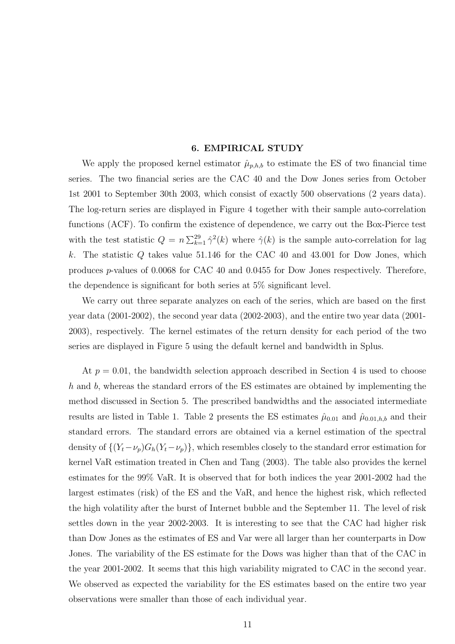### 6. EMPIRICAL STUDY

We apply the proposed kernel estimator  $\hat{\mu}_{p,h,b}$  to estimate the ES of two financial time series. The two financial series are the CAC 40 and the Dow Jones series from October 1st 2001 to September 30th 2003, which consist of exactly 500 observations (2 years data). The log-return series are displayed in Figure 4 together with their sample auto-correlation functions (ACF). To confirm the existence of dependence, we carry out the Box-Pierce test with the test statistic  $Q = n \sum_{k=1}^{29} \hat{\gamma}^2(k)$  where  $\hat{\gamma}(k)$  is the sample auto-correlation for lag k. The statistic  $Q$  takes value 51.146 for the CAC 40 and 43.001 for Dow Jones, which produces p-values of 0.0068 for CAC 40 and 0.0455 for Dow Jones respectively. Therefore, the dependence is significant for both series at 5% significant level.

We carry out three separate analyzes on each of the series, which are based on the first year data (2001-2002), the second year data (2002-2003), and the entire two year data (2001- 2003), respectively. The kernel estimates of the return density for each period of the two series are displayed in Figure 5 using the default kernel and bandwidth in Splus.

At  $p = 0.01$ , the bandwidth selection approach described in Section 4 is used to choose h and b, whereas the standard errors of the ES estimates are obtained by implementing the method discussed in Section 5. The prescribed bandwidths and the associated intermediate results are listed in Table 1. Table 2 presents the ES estimates  $\hat{\mu}_{0.01}$  and  $\hat{\mu}_{0.01,h,b}$  and their standard errors. The standard errors are obtained via a kernel estimation of the spectral density of  $\{(Y_t - \nu_p)G_h(Y_t - \nu_p)\}\$ , which resembles closely to the standard error estimation for kernel VaR estimation treated in Chen and Tang (2003). The table also provides the kernel estimates for the 99% VaR. It is observed that for both indices the year 2001-2002 had the largest estimates (risk) of the ES and the VaR, and hence the highest risk, which reflected the high volatility after the burst of Internet bubble and the September 11. The level of risk settles down in the year 2002-2003. It is interesting to see that the CAC had higher risk than Dow Jones as the estimates of ES and Var were all larger than her counterparts in Dow Jones. The variability of the ES estimate for the Dows was higher than that of the CAC in the year 2001-2002. It seems that this high variability migrated to CAC in the second year. We observed as expected the variability for the ES estimates based on the entire two year observations were smaller than those of each individual year.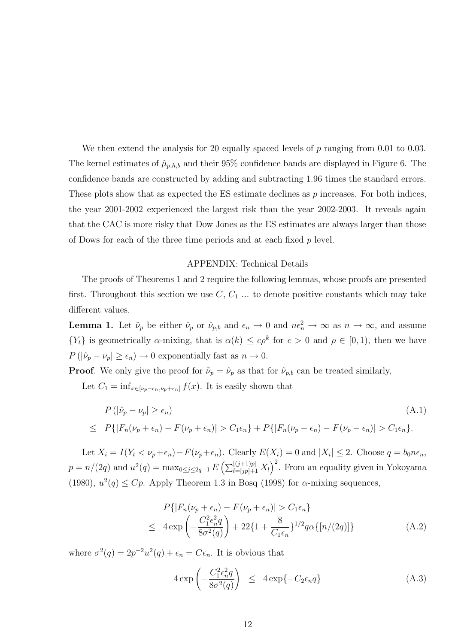We then extend the analysis for 20 equally spaced levels of  $p$  ranging from 0.01 to 0.03. The kernel estimates of  $\hat{\mu}_{p,h,b}$  and their 95% confidence bands are displayed in Figure 6. The confidence bands are constructed by adding and subtracting 1.96 times the standard errors. These plots show that as expected the  $ES$  estimate declines as  $p$  increases. For both indices, the year 2001-2002 experienced the largest risk than the year 2002-2003. It reveals again that the CAC is more risky that Dow Jones as the ES estimates are always larger than those of Dows for each of the three time periods and at each fixed p level.

## APPENDIX: Technical Details

The proofs of Theorems 1 and 2 require the following lemmas, whose proofs are presented first. Throughout this section we use  $C, C_1, \ldots$  to denote positive constants which may take different values.

**Lemma 1.** Let  $\tilde{\nu}_p$  be either  $\hat{\nu}_p$  or  $\hat{\nu}_{p,b}$  and  $\epsilon_n \to 0$  and  $n\epsilon_n^2 \to \infty$  as  $n \to \infty$ , and assume  $\{Y_t\}$  is geometrically  $\alpha$ -mixing, that is  $\alpha(k) \leq c\rho^k$  for  $c > 0$  and  $\rho \in [0, 1)$ , then we have  $P(|\hat{\nu}_p - \nu_p| \geq \epsilon_n) \to 0$  exponentially fast as  $n \to 0$ .

**Proof.** We only give the proof for  $\tilde{\nu}_p = \hat{\nu}_p$  as that for  $\hat{\nu}_{p,b}$  can be treated similarly,

Let  $C_1 = \inf_{x \in [\nu_p - \epsilon_n, \nu_p + \epsilon_n]} f(x)$ . It is easily shown that

$$
P(|\hat{\nu}_p - \nu_p| \ge \epsilon_n)
$$
\n
$$
\le P\{|F_n(\nu_p + \epsilon_n) - F(\nu_p + \epsilon_n)| > C_1\epsilon_n\} + P\{|F_n(\nu_p - \epsilon_n) - F(\nu_p - \epsilon_n)| > C_1\epsilon_n\}.
$$
\n(A.1)

Let  $X_i = I(Y_t < \nu_p + \epsilon_n) - F(\nu_p + \epsilon_n)$ . Clearly  $E(X_i) = 0$  and  $|X_i| \leq 2$ . Choose  $q = b_0 n \epsilon_n$ ,  $p = n/(2q)$  and  $u^2(q) = \max_{0 \le j \le 2q-1} E\left(\sum_{l=[jp]+1}^{\left[(j+1)p\right]} X_l\right)^2$ . From an equality given in Yokoyama (1980),  $u^2(q) \leq Cp$ . Apply Theorem 1.3 in Bosq (1998) for  $\alpha$ -mixing sequences,

$$
P\{|F_n(\nu_p + \epsilon_n) - F(\nu_p + \epsilon_n)| > C_1 \epsilon_n\}
$$
  
\n
$$
\leq 4 \exp\left(-\frac{C_1^2 \epsilon_n^2 q}{8\sigma^2(q)}\right) + 22\{1 + \frac{8}{C_1 \epsilon_n}\}^{1/2} q\alpha\{[n/(2q)]\}
$$
 (A.2)

where  $\sigma^2(q) = 2p^{-2}u^2(q) + \epsilon_n = C\epsilon_n$ . It is obvious that

$$
4 \exp\left(-\frac{C_1^2 \epsilon_n^2 q}{8\sigma^2(q)}\right) \le 4 \exp\{-C_2 \epsilon_n q\} \tag{A.3}
$$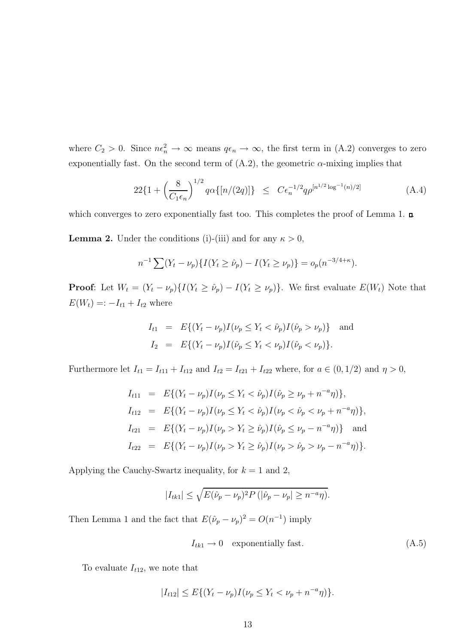where  $C_2 > 0$ . Since  $n\epsilon_n^2 \to \infty$  means  $q\epsilon_n \to \infty$ , the first term in (A.2) converges to zero exponentially fast. On the second term of  $(A.2)$ , the geometric  $\alpha$ -mixing implies that

$$
22\{1+\left(\frac{8}{C_1\epsilon_n}\right)^{1/2}q\alpha\{[n/(2q)]\}\le C\epsilon_n^{-1/2}q\rho^{[n^{1/2}\log^{-1}(n)/2]}
$$
(A.4)

which converges to zero exponentially fast too. This completes the proof of Lemma 1.  $\Box$ 

**Lemma 2.** Under the conditions (i)-(iii) and for any  $\kappa > 0$ ,

$$
n^{-1} \sum (Y_t - \nu_p) \{ I(Y_t \ge \hat{\nu}_p) - I(Y_t \ge \nu_p) \} = o_p(n^{-3/4 + \kappa}).
$$

**Proof:** Let  $W_t = (Y_t - \nu_p)\{I(Y_t \ge \hat{\nu}_p) - I(Y_t \ge \nu_p)\}\.$  We first evaluate  $E(W_t)$  Note that  $E(W_t) =: -I_{t1} + I_{t2}$  where

$$
I_{t1} = E\{(Y_t - \nu_p)I(\nu_p \le Y_t < \hat{\nu}_p)I(\hat{\nu}_p > \nu_p)\} \text{ and}
$$
  
\n
$$
I_2 = E\{(Y_t - \nu_p)I(\hat{\nu}_p \le Y_t < \nu_p)I(\hat{\nu}_p < \nu_p)\}.
$$

Furthermore let  $I_{t1} = I_{t11} + I_{t12}$  and  $I_{t2} = I_{t21} + I_{t22}$  where, for  $a \in (0, 1/2)$  and  $\eta > 0$ ,

$$
I_{t11} = E\{(Y_t - \nu_p)I(\nu_p \le Y_t < \hat{\nu}_p)I(\hat{\nu}_p \ge \nu_p + n^{-a}\eta)\},
$$
  
\n
$$
I_{t12} = E\{(Y_t - \nu_p)I(\nu_p \le Y_t < \hat{\nu}_p)I(\nu_p < \hat{\nu}_p < \nu_p + n^{-a}\eta)\},
$$
  
\n
$$
I_{t21} = E\{(Y_t - \nu_p)I(\nu_p > Y_t \ge \hat{\nu}_p)I(\hat{\nu}_p \le \nu_p - n^{-a}\eta)\}\
$$
and  
\n
$$
I_{t22} = E\{(Y_t - \nu_p)I(\nu_p > Y_t \ge \hat{\nu}_p)I(\nu_p > \hat{\nu}_p > \nu_p - n^{-a}\eta)\}.
$$

Applying the Cauchy-Swartz inequality, for  $k = 1$  and 2,

$$
|I_{tk1}| \leq \sqrt{E(\hat{\nu}_p - \nu_p)^2 P(|\hat{\nu}_p - \nu_p| \geq n^{-a}\eta)}.
$$

Then Lemma 1 and the fact that  $E(\hat{\nu}_p - \nu_p)^2 = O(n^{-1})$  imply

$$
I_{tk1} \to 0 \quad \text{exponentially fast.} \tag{A.5}
$$

To evaluate  $I_{t12}$ , we note that

$$
|I_{t12}| \le E\{(Y_t - \nu_p)I(\nu_p \le Y_t < \nu_p + n^{-a}\eta)\}.
$$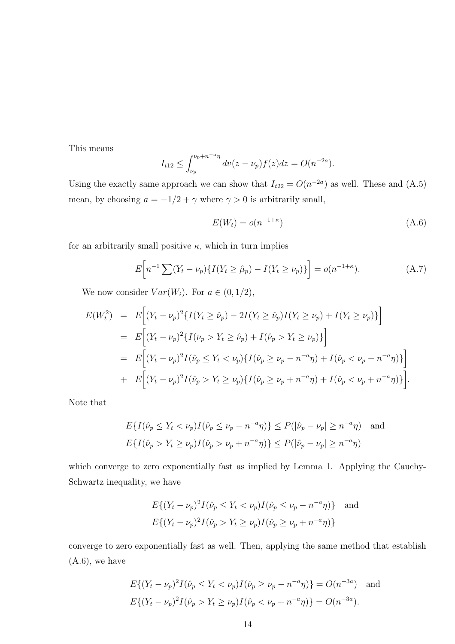This means

$$
I_{t12} \le \int_{\nu_p}^{\nu_p + n^{-a} \eta} dv(z - \nu_p) f(z) dz = O(n^{-2a}).
$$

Using the exactly same approach we can show that  $I_{t22} = O(n^{-2a})$  as well. These and (A.5) mean, by choosing  $a=-1/2+\gamma$  where  $\gamma>0$  is arbitrarily small,

$$
E(W_t) = o(n^{-1+\kappa})
$$
\n(A.6)

for an arbitrarily small positive  $\kappa$ , which in turn implies

$$
E\Big[n^{-1}\sum(Y_t - \nu_p)\{I(Y_t \ge \hat{\mu}_p) - I(Y_t \ge \nu_p)\}\Big] = o(n^{-1+\kappa}).\tag{A.7}
$$

We now consider  $Var(W_i)$ . For  $a \in (0, 1/2)$ ,

$$
E(W_t^2) = E\Big[(Y_t - \nu_p)^2 \{ I(Y_t \ge \hat{\nu}_p) - 2I(Y_t \ge \hat{\nu}_p) I(Y_t \ge \nu_p) + I(Y_t \ge \nu_p) \} \Big]
$$
  
\n
$$
= E\Big[(Y_t - \nu_p)^2 \{ I(\nu_p > Y_t \ge \hat{\nu}_p) + I(\hat{\nu}_p > Y_t \ge \nu_p) \} \Big]
$$
  
\n
$$
= E\Big[(Y_t - \nu_p)^2 I(\hat{\nu}_p \le Y_t < \nu_p) \{ I(\hat{\nu}_p \ge \nu_p - n^{-a}\eta) + I(\hat{\nu}_p < \nu_p - n^{-a}\eta) \} \Big]
$$
  
\n
$$
+ E\Big[(Y_t - \nu_p)^2 I(\hat{\nu}_p > Y_t \ge \nu_p) \{ I(\hat{\nu}_p \ge \nu_p + n^{-a}\eta) + I(\hat{\nu}_p < \nu_p + n^{-a}\eta) \} \Big].
$$

Note that

$$
E\{I(\hat{\nu}_p \le Y_t < \nu_p)I(\hat{\nu}_p \le \nu_p - n^{-a}\eta)\} \le P(|\hat{\nu}_p - \nu_p| \ge n^{-a}\eta) \quad \text{and}
$$
\n
$$
E\{I(\hat{\nu}_p > Y_t \ge \nu_p)I(\hat{\nu}_p > \nu_p + n^{-a}\eta)\} \le P(|\hat{\nu}_p - \nu_p| \ge n^{-a}\eta)
$$

which converge to zero exponentially fast as implied by Lemma 1. Applying the Cauchy-Schwartz inequality, we have

$$
E\{(Y_t - \nu_p)^2 I(\hat{\nu}_p \le Y_t < \nu_p) I(\hat{\nu}_p \le \nu_p - n^{-a}\eta)\} \text{ and}
$$
  

$$
E\{(Y_t - \nu_p)^2 I(\hat{\nu}_p > Y_t \ge \nu_p) I(\hat{\nu}_p \ge \nu_p + n^{-a}\eta)\}
$$

converge to zero exponentially fast as well. Then, applying the same method that establish  $(A.6)$ , we have

$$
E\{(Y_t - \nu_p)^2 I(\hat{\nu}_p \le Y_t < \nu_p) I(\hat{\nu}_p \ge \nu_p - n^{-a}\eta)\} = O(n^{-3a}) \quad \text{and}
$$
\n
$$
E\{(Y_t - \nu_p)^2 I(\hat{\nu}_p > Y_t \ge \nu_p) I(\hat{\nu}_p < \nu_p + n^{-a}\eta)\} = O(n^{-3a}).
$$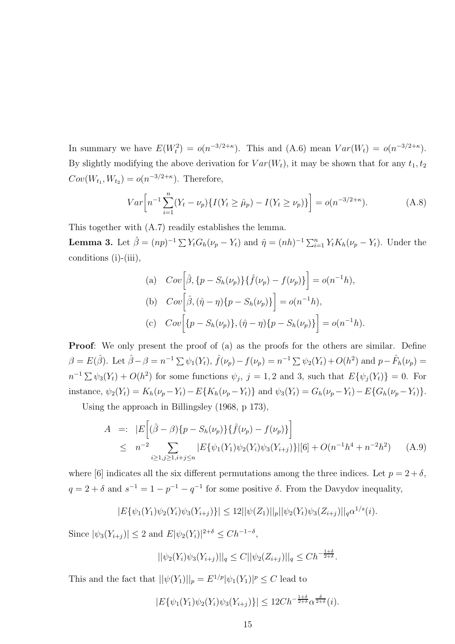In summary we have  $E(W_t^2) = o(n^{-3/2+\kappa})$ . This and  $(A.6)$  mean  $Var(W_t) = o(n^{-3/2+\kappa})$ . By slightly modifying the above derivation for  $Var(W_t)$ , it may be shown that for any  $t_1, t_2$  $Cov(W_{t_1}, W_{t_2}) = o(n^{-3/2 + \kappa})$ . Therefore,

$$
Var\left[n^{-1}\sum_{i=1}^{n}(Y_t - \nu_p)\{I(Y_t \ge \hat{\mu}_p) - I(Y_t \ge \nu_p)\}\right] = o(n^{-3/2 + \kappa}).\tag{A.8}
$$

This together with (A.7) readily establishes the lemma.

**Lemma 3.** Let  $\hat{\beta} = (np)^{-1} \sum Y_t G_h(\nu_p - Y_t)$  and  $\hat{\eta} = (nh)^{-1} \sum_{i=1}^n Y_t K_h(\nu_p - Y_t)$ . Under the conditions (i)-(iii),

(a) 
$$
Cov\left[\hat{\beta}, \{p - S_h(\nu_p)\}\{\hat{f}(\nu_p) - f(\nu_p)\}\right] = o(n^{-1}h),
$$
  
\n(b)  $Cov\left[\hat{\beta}, (\hat{\eta} - \eta)\{p - S_h(\nu_p)\}\right] = o(n^{-1}h),$   
\n(c)  $Cov\left[\{p - S_h(\nu_p)\}, (\hat{\eta} - \eta)\{p - S_h(\nu_p)\}\right] = o(n^{-1}h).$ 

**Proof:** We only present the proof of (a) as the proofs for the others are similar. Define  $\beta = E(\hat{\beta})$ . Let  $\hat{\beta} - \beta = n^{-1} \sum \psi_1(Y_t)$ ,  $\hat{f}(\nu_p) - f(\nu_p) = n^{-1} \sum \psi_2(Y_t) + O(h^2)$  and  $p - \hat{F}_h(\nu_p) =$  $n^{-1} \sum \psi_3(Y_t) + O(h^2)$  for some functions  $\psi_j$ ,  $j = 1, 2$  and 3, such that  $E\{\psi_j(Y_t)\} = 0$ . For instance,  $\psi_2(Y_t) = K_h(\nu_p - Y_t) - E\{K_h(\nu_p - Y_t)\}$  and  $\psi_3(Y_t) = G_h(\nu_p - Y_t) - E\{G_h(\nu_p - Y_t)\}.$ 

Using the approach in Billingsley (1968, p 173),

$$
A =: |E[(\hat{\beta} - \beta)\{p - S_h(\nu_p)\}\{\hat{f}(\nu_p) - f(\nu_p)\}]
$$
  
\n
$$
\leq n^{-2} \sum_{i \ge 1, j \ge 1, i+j \le n} |E{\psi_1(Y_1)\psi_2(Y_i)\psi_3(Y_{i+j})}\|[6] + O(n^{-1}h^4 + n^{-2}h^2) \quad (A.9)
$$

where [6] indicates all the six different permutations among the three indices. Let  $p = 2 + \delta$ ,  $q = 2 + \delta$  and  $s^{-1} = 1 - p^{-1} - q^{-1}$  for some positive  $\delta$ . From the Davydov inequality,

$$
|E\{\psi_1(Y_1)\psi_2(Y_i)\psi_3(Y_{i+j})\}| \leq 12||\psi(Z_1)||_p||\psi_2(Y_t)\psi_3(Z_{i+j})||_q\alpha^{1/s}(i).
$$

Since  $|\psi_3(Y_{i+j})| \leq 2$  and  $E|\psi_2(Y_i)|^{2+\delta} \leq Ch^{-1-\delta}$ ,

$$
||\psi_2(Y_i)\psi_3(Y_{i+j})||_q \le C ||\psi_2(Z_{i+j})||_q \le C h^{-\frac{1+\delta}{2+\delta}}.
$$

This and the fact that  $||\psi(Y_1)||_p = E^{1/p} |\psi_1(Y_1)|^p \leq C$  lead to

$$
|E\{\psi_1(Y_1)\psi_2(Y_i)\psi_3(Y_{i+j})\}| \le 12Ch^{-\frac{1+\delta}{2+\delta}}\alpha^{\frac{\delta}{2+\delta}}(i).
$$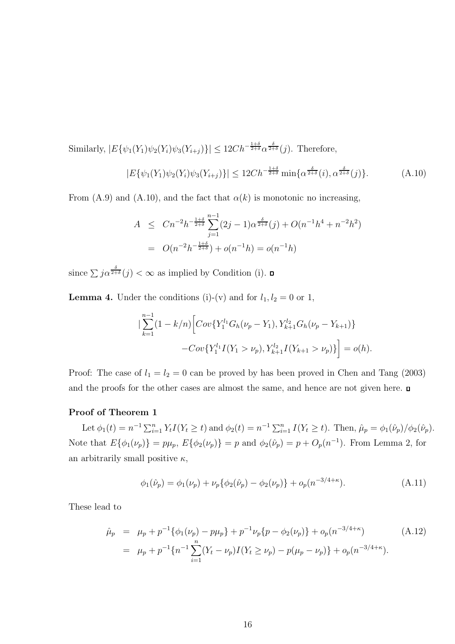Similarly,  $|E\{\psi_1(Y_1)\psi_2(Y_i)\psi_3(Y_{i+j})\}| \leq 12Ch^{-\frac{1+\delta}{2+\delta}}\alpha^{\frac{\delta}{2+\delta}}(j)$ . Therefore,

$$
|E\{\psi_1(Y_1)\psi_2(Y_i)\psi_3(Y_{i+j})\}| \le 12C h^{-\frac{1+\delta}{2+\delta}} \min\{\alpha^{\frac{\delta}{2+\delta}}(i), \alpha^{\frac{\delta}{2+\delta}}(j)\}.
$$
 (A.10)

From (A.9) and (A.10), and the fact that  $\alpha(k)$  is monotonic no increasing,

$$
A \leq Cn^{-2}h^{-\frac{1+\delta}{2+\delta}}\sum_{j=1}^{n-1} (2j-1)\alpha^{\frac{\delta}{2+\delta}}(j) + O(n^{-1}h^4 + n^{-2}h^2)
$$
  
=  $O(n^{-2}h^{-\frac{1+\delta}{2+\delta}}) + o(n^{-1}h) = o(n^{-1}h)$ 

since  $\sum j \alpha^{\frac{\delta}{2+\delta}}(j) < \infty$  as implied by Condition (i).

**Lemma 4.** Under the conditions (i)-(v) and for  $l_1, l_2 = 0$  or 1,

$$
\left| \sum_{k=1}^{n-1} (1 - k/n) \left[ Cov\{ Y_1^{l_1} G_h(\nu_p - Y_1), Y_{k+1}^{l_2} G_h(\nu_p - Y_{k+1}) \} - Cov\{ Y_1^{l_1} I(Y_1 > \nu_p), Y_{k+1}^{l_2} I(Y_{k+1} > \nu_p) \} \right] = o(h).
$$

Proof: The case of  $l_1 = l_2 = 0$  can be proved by has been proved in Chen and Tang (2003) and the proofs for the other cases are almost the same, and hence are not given here.

#### Proof of Theorem 1

Let  $\phi_1(t) = n^{-1} \sum_{i=1}^n Y_t I(Y_t \ge t)$  and  $\phi_2(t) = n^{-1} \sum_{i=1}^n I(Y_t \ge t)$ . Then,  $\hat{\mu}_p = \phi_1(\hat{\nu}_p)/\phi_2(\hat{\nu}_p)$ . Note that  $E\{\phi_1(\nu_p)\} = p\mu_p$ ,  $E\{\phi_2(\nu_p)\} = p$  and  $\phi_2(\hat{\nu}_p) = p + O_p(n^{-1})$ . From Lemma 2, for an arbitrarily small positive  $\kappa$ ,

$$
\phi_1(\hat{\nu}_p) = \phi_1(\nu_p) + \nu_p \{ \phi_2(\hat{\nu}_p) - \phi_2(\nu_p) \} + o_p(n^{-3/4 + \kappa}). \tag{A.11}
$$

These lead to

$$
\hat{\mu}_p = \mu_p + p^{-1} \{ \phi_1(\nu_p) - p\mu_p \} + p^{-1} \nu_p \{ p - \phi_2(\nu_p) \} + o_p(n^{-3/4+\kappa}) \tag{A.12}
$$
\n
$$
= \mu_p + p^{-1} \{ n^{-1} \sum_{i=1}^n (Y_t - \nu_p) I(Y_t \ge \nu_p) - p(\mu_p - \nu_p) \} + o_p(n^{-3/4+\kappa}).
$$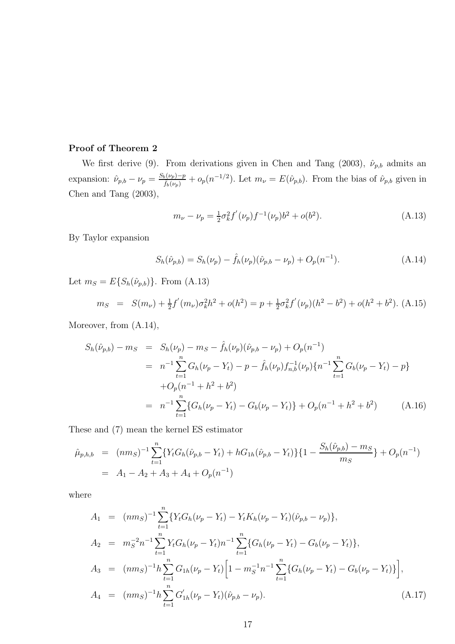# Proof of Theorem 2

We first derive (9). From derivations given in Chen and Tang (2003),  $\hat{\nu}_{p,b}$  admits an expansion:  $\hat{\nu}_{p,b} - \nu_p = \frac{S_b(\nu_p)-p}{\hat{f}_b(\nu_p)}$  $\frac{\partial F_b(\nu_p)-p}{\partial f_b(\nu_p)}+o_p(n^{-1/2})$ . Let  $m_\nu=E(\hat{\nu}_{p,b})$ . From the bias of  $\hat{\nu}_{p,b}$  given in Chen and Tang (2003),

$$
m_{\nu} - \nu_p = \frac{1}{2} \sigma_k^2 f'(\nu_p) f^{-1}(\nu_p) b^2 + o(b^2).
$$
 (A.13)

By Taylor expansion

$$
S_h(\hat{\nu}_{p,b}) = S_h(\nu_p) - \hat{f}_h(\nu_p)(\hat{\nu}_{p,b} - \nu_p) + O_p(n^{-1}).
$$
\n(A.14)

Let  $m_S = E\{S_h(\hat{\nu}_{p,b})\}$ . From (A.13)

$$
m_S = S(m_\nu) + \frac{1}{2}f'(m_\nu)\sigma_k^2 h^2 + o(h^2) = p + \frac{1}{2}\sigma_k^2 f'(\nu_p)(h^2 - b^2) + o(h^2 + b^2).
$$
 (A.15)

Moreover, from (A.14),

$$
S_h(\hat{\nu}_{p,b}) - m_S = S_h(\nu_p) - m_S - \hat{f}_h(\nu_p)(\hat{\nu}_{p,b} - \nu_p) + O_p(n^{-1})
$$
  
\n
$$
= n^{-1} \sum_{t=1}^n G_h(\nu_p - Y_t) - p - \hat{f}_h(\nu_p) f_{n,b}^{-1}(\nu_p) \{n^{-1} \sum_{t=1}^n G_b(\nu_p - Y_t) - p\}
$$
  
\n
$$
+ O_p(n^{-1} + h^2 + b^2)
$$
  
\n
$$
= n^{-1} \sum_{t=1}^n \{G_h(\nu_p - Y_t) - G_b(\nu_p - Y_t)\} + O_p(n^{-1} + h^2 + b^2)
$$
 (A.16)

These and (7) mean the kernel ES estimator

$$
\hat{\mu}_{p,h,b} = (nm_S)^{-1} \sum_{t=1}^{n} \{ Y_t G_h(\hat{\nu}_{p,b} - Y_t) + h G_{1h}(\hat{\nu}_{p,b} - Y_t) \} \{ 1 - \frac{S_h(\hat{\nu}_{p,b}) - m_S}{m_S} \} + O_p(n^{-1})
$$
\n
$$
= A_1 - A_2 + A_3 + A_4 + O_p(n^{-1})
$$

where

$$
A_1 = (nm_S)^{-1} \sum_{t=1}^n \{ Y_t G_h (\nu_p - Y_t) - Y_t K_h (\nu_p - Y_t) (\hat{\nu}_{p,b} - \nu_p) \},
$$
  
\n
$$
A_2 = m_S^{-2} n^{-1} \sum_{t=1}^n Y_t G_h (\nu_p - Y_t) n^{-1} \sum_{t=1}^n \{ G_h (\nu_p - Y_t) - G_b (\nu_p - Y_t) \},
$$
  
\n
$$
A_3 = (nm_S)^{-1} h \sum_{t=1}^n G_{1h} (\nu_p - Y_t) \Big[ 1 - m_S^{-1} n^{-1} \sum_{t=1}^n \{ G_h (\nu_p - Y_t) - G_b (\nu_p - Y_t) \} \Big],
$$
  
\n
$$
A_4 = (nm_S)^{-1} h \sum_{t=1}^n G'_{1h} (\nu_p - Y_t) (\hat{\nu}_{p,b} - \nu_p).
$$
\n(A.17)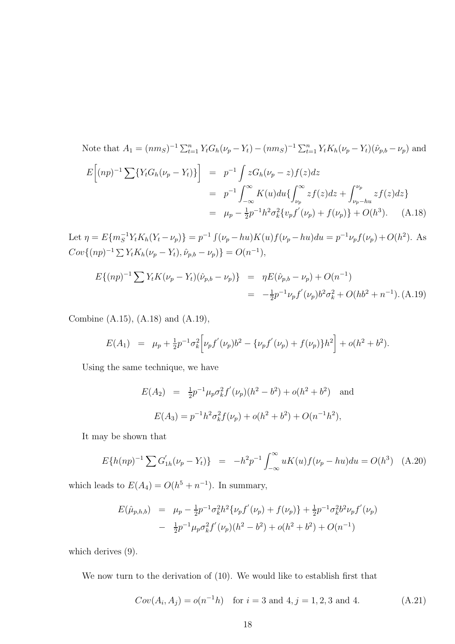Note that 
$$
A_1 = (nm_S)^{-1} \sum_{t=1}^n Y_t G_h (\nu_p - Y_t) - (nm_S)^{-1} \sum_{t=1}^n Y_t K_h (\nu_p - Y_t) (\hat{\nu}_{p,b} - \nu_p)
$$
 and  
\n
$$
E[(np)^{-1} \sum \{ Y_t G_h (\nu_p - Y_t) \} ] = p^{-1} \int z G_h (\nu_p - z) f(z) dz
$$
\n
$$
= p^{-1} \int_{-\infty}^{\infty} K(u) du \{ \int_{\nu_p}^{\infty} z f(z) dz + \int_{\nu_p - hu}^{\nu_p} z f(z) dz \}
$$
\n
$$
= \mu_p - \frac{1}{2} p^{-1} h^2 \sigma_k^2 \{ v_p f'(\nu_p) + f(\nu_p) \} + O(h^3). \quad (A.18)
$$

Let  $\eta = E\{m_S^{-1}Y_t K_h(Y_t - \nu_p)\} = p^{-1} \int (\nu_p - hu) K(u) f(\nu_p - hu) du = p^{-1} \nu_p f(\nu_p) + O(h^2)$ . As  $Cov\{(np)^{-1} \sum Y_t K_h(\nu_p - Y_t), \hat{\nu}_{p,b} - \nu_p)\} = O(n^{-1}),$ 

$$
E\{(np)^{-1}\sum Y_t K(\nu_p - Y_t)(\hat{\nu}_{p,b} - \nu_p)\} = \eta E(\hat{\nu}_{p,b} - \nu_p) + O(n^{-1})
$$
  
=  $-\frac{1}{2}p^{-1}\nu_p f'(\nu_p)b^2 \sigma_k^2 + O(hb^2 + n^{-1}).$  (A.19)

Combine (A.15), (A.18) and (A.19),

$$
E(A_1) = \mu_p + \frac{1}{2}p^{-1}\sigma_k^2 \Big[\nu_p f'(\nu_p)b^2 - \{\nu_p f'(\nu_p) + f(\nu_p)\}h^2\Big] + o(h^2 + b^2).
$$

Using the same technique, we have

$$
E(A_2) = \frac{1}{2}p^{-1}\mu_p \sigma_k^2 f'(\nu_p)(h^2 - b^2) + o(h^2 + b^2)
$$
 and  

$$
E(A_3) = p^{-1}h^2 \sigma_k^2 f(\nu_p) + o(h^2 + b^2) + O(n^{-1}h^2),
$$

It may be shown that

$$
E\{h(np)^{-1}\sum G'_{1h}(\nu_p - Y_t)\} = -h^2p^{-1}\int_{-\infty}^{\infty} uK(u)f(\nu_p - hu)du = O(h^3) \quad (A.20)
$$

which leads to  $E(A_4) = O(h^5 + n^{-1})$ . In summary,

$$
E(\hat{\mu}_{p,h,b}) = \mu_p - \frac{1}{2}p^{-1}\sigma_k^2h^2\{\nu_p f'(\nu_p) + f(\nu_p)\} + \frac{1}{2}p^{-1}\sigma_k^2b^2\nu_p f'(\nu_p) - \frac{1}{2}p^{-1}\mu_p\sigma_k^2 f'(\nu_p)(h^2 - b^2) + o(h^2 + b^2) + O(n^{-1})
$$

which derives  $(9)$ .

We now turn to the derivation of (10). We would like to establish first that

$$
Cov(A_i, A_j) = o(n^{-1}h) \text{ for } i = 3 \text{ and } 4, j = 1, 2, 3 \text{ and } 4.
$$
 (A.21)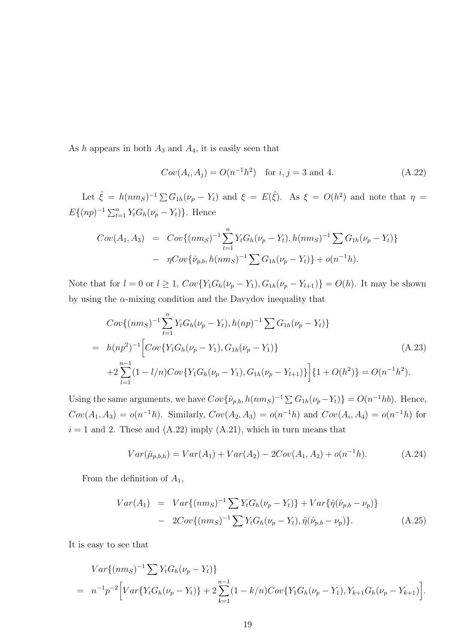As h appears in both  $A_3$  and  $A_4$ , it is easily seen that

$$
Cov(A_i, A_j) = O(n^{-1}h^2) \text{ for } i, j = 3 \text{ and } 4.
$$
 (A.22)

Let  $\hat{\xi} = h(nm_S)^{-1} \sum G_{1h}(\nu_p - Y_t)$  and  $\xi = E(\hat{\xi})$ . As  $\xi = O(h^2)$  and note that  $\eta =$  $E\{(np)^{-1}\sum_{t=1}^{n} Y_t G_h(\nu_p - Y_t)\}.$  Hence

$$
Cov(A_1, A_3) = Cov\{(nm_S)^{-1} \sum_{t=1}^{n} Y_t G_h(\nu_p - Y_t), h(nm_S)^{-1} \sum_{t=1}^{n} G_{1h}(\nu_p - Y_t)\}
$$

$$
- \eta Cov\{\hat{\nu}_{p,b}, h(nm_S)^{-1} \sum_{t=1}^{n} G_{1h}(\nu_p - Y_t)\} + o(n^{-1}h).
$$

Note that for  $l = 0$  or  $l \ge 1$ ,  $Cov\{Y_1G_h(\nu_p - Y_1), G_{1h}(\nu_p - Y_{l+1})\} = O(h)$ . It may be shown by using the  $\alpha$ -mixing condition and the Davydov inequality that

$$
Cov\{(nm_S)^{-1}\sum_{t=1}^{n} Y_t G_h(\nu_p - Y_t), h(np)^{-1} \sum G_{1h}(\nu_p - Y_t)\}
$$
  
=  $h(np^2)^{-1} \Big[ Cov\{Y_1 G_h(\nu_p - Y_1), G_{1h}(\nu_p - Y_1)\}\$   
+ $2 \sum_{l=1}^{n-1} (1 - l/n) Cov\{Y_1 G_h(\nu_p - Y_1), G_{1h}(\nu_p - Y_{l+1})\}\Big] \{1 + O(h^2)\} = O(n^{-1}h^2).$  (A.23)

Using the same arguments, we have  $Cov\{\hat{\nu}_{p,b}, h(nm_S)^{-1} \sum G_{1h}(\nu_p - Y_t)\} = O(n^{-1}hb)$ . Hence,  $Cov(A_1, A_3) = o(n^{-1}h)$ . Similarly,  $Cov(A_2, A_3) = o(n^{-1}h)$  and  $Cov(A_i, A_4) = o(n^{-1}h)$  for  $i = 1$  and 2. These and  $(A.22)$  imply  $(A.21)$ , which in turn means that

$$
Var(\hat{\mu}_{p,b,h}) = Var(A_1) + Var(A_2) - 2Cov(A_1, A_2) + o(n^{-1}h).
$$
 (A.24)

From the definition of  $A_1$ ,

$$
Var(A_1) = Var\{(nm_S)^{-1} \sum Y_t G_h(\nu_p - Y_t)\} + Var\{\hat{\eta}(\hat{\nu}_{p,b} - \nu_p)\}
$$
  
- 
$$
2Cov\{(nm_S)^{-1} \sum Y_t G_h(\nu_p - Y_t), \hat{\eta}(\hat{\nu}_{p,b} - \nu_p)\}.
$$
 (A.25)

It is easy to see that

$$
Var\{(nm_S)^{-1}\sum Y_t G_h(\nu_p - Y_t)\}
$$
  
=  $n^{-1}p^{-2}\Big[Var\{Y_t G_h(\nu_p - Y_t)\} + 2\sum_{k=1}^{n-1} (1 - k/n)Cov\{Y_1 G_h(\nu_p - Y_1), Y_{k+1} G_h(\nu_p - Y_{k+1})\Big].$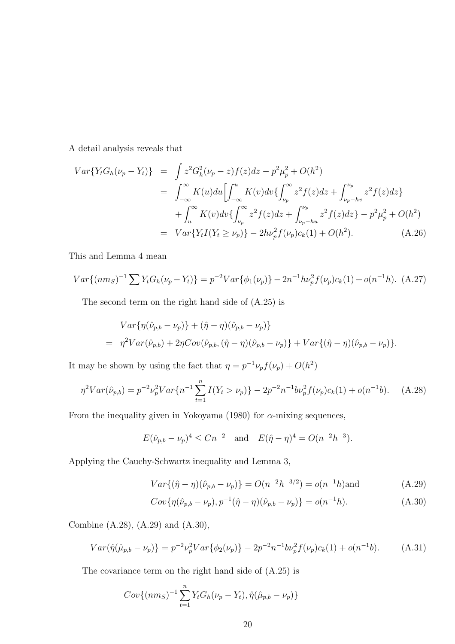A detail analysis reveals that

$$
Var\{Y_t G_h(\nu_p - Y_t)\} = \int z^2 G_h^2(\nu_p - z) f(z) dz - p^2 \mu_p^2 + O(h^2)
$$
  
\n
$$
= \int_{-\infty}^{\infty} K(u) du \Big[ \int_{-\infty}^u K(v) dv \{ \int_{\nu_p}^{\infty} z^2 f(z) dz + \int_{\nu_p - hv}^{\nu_p} z^2 f(z) dz \} + \int_{u}^{\infty} K(v) dv \{ \int_{\nu_p}^{\infty} z^2 f(z) dz + \int_{\nu_p - hu}^{\nu_p} z^2 f(z) dz \} - p^2 \mu_p^2 + O(h^2)
$$
  
\n
$$
= Var\{ Y_t I (Y_t \ge \nu_p) \} - 2h\nu_p^2 f(\nu_p) c_k(1) + O(h^2). \tag{A.26}
$$

This and Lemma 4 mean

$$
Var\{(nm_S)^{-1}\sum Y_t G_h(\nu_p - Y_t)\} = p^{-2}Var\{\phi_1(\nu_p)\} - 2n^{-1}h\nu_p^2 f(\nu_p)c_k(1) + o(n^{-1}h). \tag{A.27}
$$

The second term on the right hand side of (A.25) is

$$
Var\{\eta(\hat{\nu}_{p,b} - \nu_p)\} + (\hat{\eta} - \eta)(\hat{\nu}_{p,b} - \nu_p)\}
$$
  
=  $\eta^2 Var(\hat{\nu}_{p,b}) + 2\eta Cov(\hat{\nu}_{p,b}, (\hat{\eta} - \eta)(\hat{\nu}_{p,b} - \nu_p)\} + Var\{(\hat{\eta} - \eta)(\hat{\nu}_{p,b} - \nu_p)\}.$ 

It may be shown by using the fact that  $\eta = p^{-1} \nu_p f(\nu_p) + O(h^2)$ 

$$
\eta^2 Var(\hat{\nu}_{p,b}) = p^{-2} \nu_p^2 Var\{n^{-1} \sum_{t=1}^n I(Y_t > \nu_p)\} - 2p^{-2} n^{-1} b \nu_p^2 f(\nu_p) c_k(1) + o(n^{-1}b). \tag{A.28}
$$

From the inequality given in Yokoyama (1980) for  $\alpha$ -mixing sequences,

$$
E(\hat{\nu}_{p,b} - \nu_p)^4 \le Cn^{-2}
$$
 and  $E(\hat{\eta} - \eta)^4 = O(n^{-2}h^{-3}).$ 

Applying the Cauchy-Schwartz inequality and Lemma 3,

$$
Var\{(\hat{\eta} - \eta)(\hat{\nu}_{p,b} - \nu_p)\} = O(n^{-2}h^{-3/2}) = o(n^{-1}h)
$$
and (A.29)

$$
Cov\{\eta(\hat{\nu}_{p,b} - \nu_p), p^{-1}(\hat{\eta} - \eta)(\hat{\nu}_{p,b} - \nu_p)\} = o(n^{-1}h). \tag{A.30}
$$

Combine (A.28), (A.29) and (A.30),

$$
Var(\hat{\eta}(\hat{\mu}_{p,b} - \nu_p)) = p^{-2} \nu_p^2 Var\{\phi_2(\nu_p)\} - 2p^{-2} n^{-1} b \nu_p^2 f(\nu_p) c_k(1) + o(n^{-1}b). \tag{A.31}
$$

The covariance term on the right hand side of (A.25) is

$$
Cov\{(nm_S)^{-1}\sum_{t=1}^{n}Y_tG_h(\nu_p - Y_t), \hat{\eta}(\hat{\mu}_{p,b} - \nu_p)\}
$$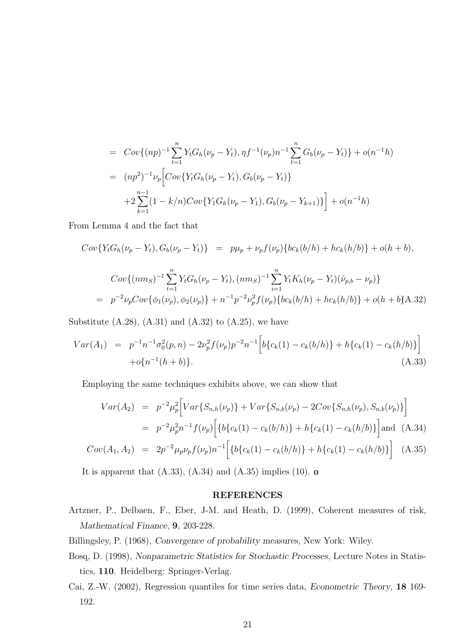$$
= Cov\{(np)^{-1}\sum_{t=1}^{n} Y_t G_h(\nu_p - Y_t), \eta f^{-1}(\nu_p)n^{-1}\sum_{t=1}^{n} G_b(\nu_p - Y_t)\} + o(n^{-1}h)
$$
  

$$
= (np^2)^{-1}\nu_p \Big[Cov\{Y_t G_h(\nu_p - Y_t), G_b(\nu_p - Y_t)\}
$$
  

$$
+ 2\sum_{k=1}^{n-1} (1 - k/n)Cov\{Y_1 G_h(\nu_p - Y_1), G_b(\nu_p - Y_{k+1})\} \Big] + o(n^{-1}h)
$$

From Lemma 4 and the fact that

$$
Cov\{Y_tG_h(\nu_p - Y_t), G_b(\nu_p - Y_t)\} = p\mu_p + \nu_p f(\nu_p)\{bc_k(b/h) + hc_k(h/b)\} + o(h + b),
$$
  
\n
$$
Cov\{(nm_S)^{-1}\sum_{t=1}^n Y_tG_h(\nu_p - Y_t), (nm_S)^{-1}\sum_{i=1}^n Y_tK_h(\nu_p - Y_t)(\hat{\nu}_{p,b} - \nu_p)\}
$$
  
\n
$$
= p^{-2}\nu_p Cov\{\phi_1(\nu_p), \phi_2(\nu_p)\} + n^{-1}p^{-2}\nu_p^2 f(\nu_p)\{bc_k(b/h) + hc_k(h/b)\} + o(h + b(A.32))
$$

Substitute  $(A.28)$ ,  $(A.31)$  and  $(A.32)$  to  $(A.25)$ , we have

$$
Var(A_1) = p^{-1}n^{-1}\sigma_0^2(p,n) - 2\nu_p^2 f(\nu_p)p^{-2}n^{-1} \left[ b\{c_k(1) - c_k(b/h)\} + h\{c_k(1) - c_k(h/b)\} \right] + o\{n^{-1}(h+b)\}.
$$
\n(A.33)

Employing the same techniques exhibits above, we can show that

$$
Var(A_2) = p^{-2} \mu_p^2 \Big[ Var\{S_{n,h}(\nu_p)\} + Var\{S_{n,b}(\nu_p) - 2Cov\{S_{n,h}(\nu_p), S_{n,b}(\nu_p)\}\Big]
$$
  
=  $p^{-2} \mu_p^2 n^{-1} f(\nu_p) \Big[ \{b\{c_k(1) - c_k(b/h)\} + h\{c_k(1) - c_k(h/b)\}\Big] \text{and (A.34)}$ 

$$
Cov(A_1, A_2) = 2p^{-2} \mu_p \nu_p f(\nu_p) n^{-1} \Big[ \{ b \{ c_k(1) - c_k(b/h) \} + h \{ c_k(1) - c_k(h/b) \} \Big] \quad (A.35)
$$

It is apparent that  $(A.33)$ ,  $(A.34)$  and  $(A.35)$  implies  $(10)$ .

#### REFERENCES

Artzner, P., Delbaen, F., Eber, J-M. and Heath, D. (1999), Coherent measures of risk, Mathematical Finance, 9, 203-228.

Billingsley, P. (1968), Convergence of probability measures, New York: Wiley.

- Bosq, D. (1998), Nonparametric Statistics for Stochastic Processes, Lecture Notes in Statistics, 110. Heidelberg: Springer-Verlag.
- Cai, Z.-W. (2002), Regression quantiles for time series data, Econometric Theory, 18 169- 192.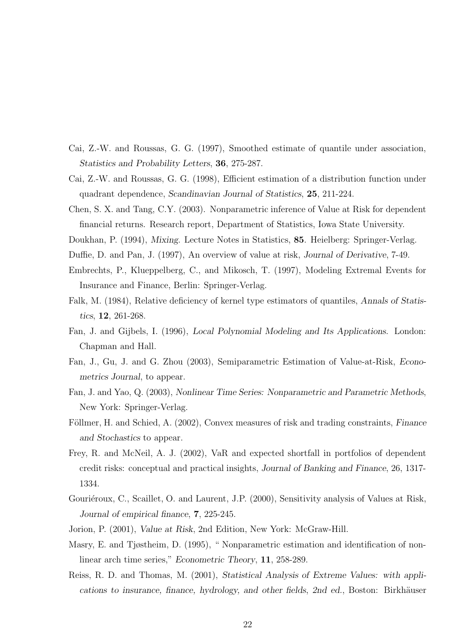- Cai, Z.-W. and Roussas, G. G. (1997), Smoothed estimate of quantile under association, Statistics and Probability Letters, 36, 275-287.
- Cai, Z.-W. and Roussas, G. G. (1998), Efficient estimation of a distribution function under quadrant dependence, Scandinavian Journal of Statistics, 25, 211-224.
- Chen, S. X. and Tang, C.Y. (2003). Nonparametric inference of Value at Risk for dependent financial returns. Research report, Department of Statistics, Iowa State University.
- Doukhan, P. (1994), Mixing. Lecture Notes in Statistics, 85. Heielberg: Springer-Verlag.
- Duffie, D. and Pan, J. (1997), An overview of value at risk, Journal of Derivative, 7-49.
- Embrechts, P., Klueppelberg, C., and Mikosch, T. (1997), Modeling Extremal Events for Insurance and Finance, Berlin: Springer-Verlag.
- Falk, M. (1984), Relative deficiency of kernel type estimators of quantiles, Annals of Statistics, 12, 261-268.
- Fan, J. and Gijbels, I. (1996), Local Polynomial Modeling and Its Applications. London: Chapman and Hall.
- Fan, J., Gu, J. and G. Zhou (2003), Semiparametric Estimation of Value-at-Risk, Econometrics Journal, to appear.
- Fan, J. and Yao, Q. (2003), Nonlinear Time Series: Nonparametric and Parametric Methods, New York: Springer-Verlag.
- Föllmer, H. and Schied, A. (2002), Convex measures of risk and trading constraints, Finance and Stochastics to appear.
- Frey, R. and McNeil, A. J. (2002), VaR and expected shortfall in portfolios of dependent credit risks: conceptual and practical insights, Journal of Banking and Finance, 26, 1317- 1334.
- Gouriéroux, C., Scaillet, O. and Laurent, J.P. (2000), Sensitivity analysis of Values at Risk, Journal of empirical finance, 7, 225-245.
- Jorion, P. (2001), Value at Risk, 2nd Edition, New York: McGraw-Hill.
- Masry, E. and Tjøstheim, D. (1995), " Nonparametric estimation and identification of nonlinear arch time series," Econometric Theory, 11, 258-289.
- Reiss, R. D. and Thomas, M. (2001), Statistical Analysis of Extreme Values: with applications to insurance, finance, hydrology, and other fields, 2nd ed., Boston: Birkhäuser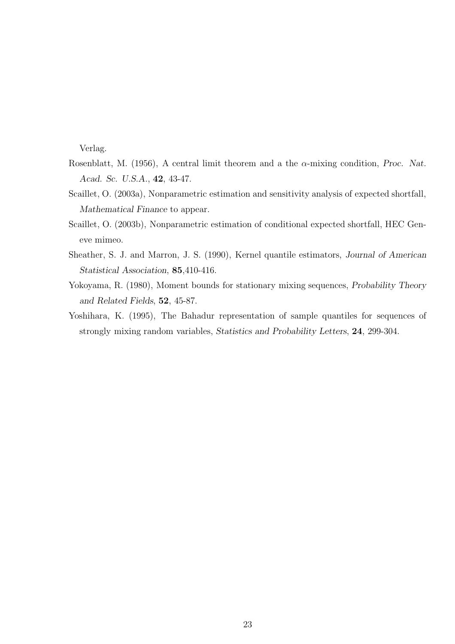Verlag.

- Rosenblatt, M. (1956), A central limit theorem and a the  $\alpha$ -mixing condition, Proc. Nat. Acad. Sc. U.S.A., 42, 43-47.
- Scaillet, O. (2003a), Nonparametric estimation and sensitivity analysis of expected shortfall, Mathematical Finance to appear.
- Scaillet, O. (2003b), Nonparametric estimation of conditional expected shortfall, HEC Geneve mimeo.
- Sheather, S. J. and Marron, J. S. (1990), Kernel quantile estimators, Journal of American Statistical Association, 85,410-416.
- Yokoyama, R. (1980), Moment bounds for stationary mixing sequences, Probability Theory and Related Fields, 52, 45-87.
- Yoshihara, K. (1995), The Bahadur representation of sample quantiles for sequences of strongly mixing random variables, Statistics and Probability Letters, 24, 299-304.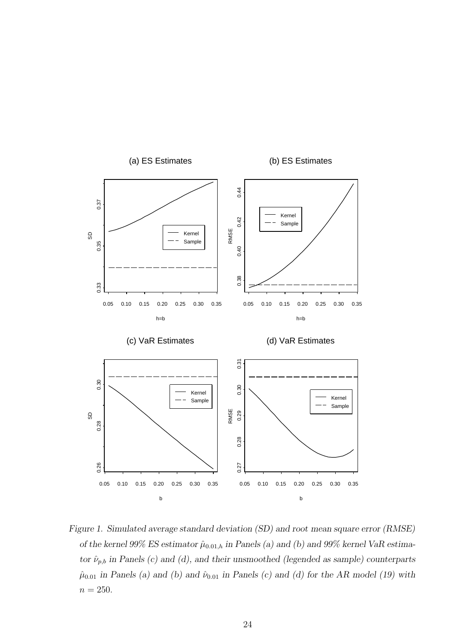

Figure 1. Simulated average standard deviation (SD) and root mean square error (RMSE) of the kernel 99% ES estimator  $\hat{\mu}_{0.01,h}$  in Panels (a) and (b) and 99% kernel VaR estimator  $\hat{\nu}_{p,b}$  in Panels (c) and (d), and their unsmoothed (legended as sample) counterparts  $\hat{\mu}_{0.01}$  in Panels (a) and (b) and  $\hat{\nu}_{0.01}$  in Panels (c) and (d) for the AR model (19) with  $n = 250$ .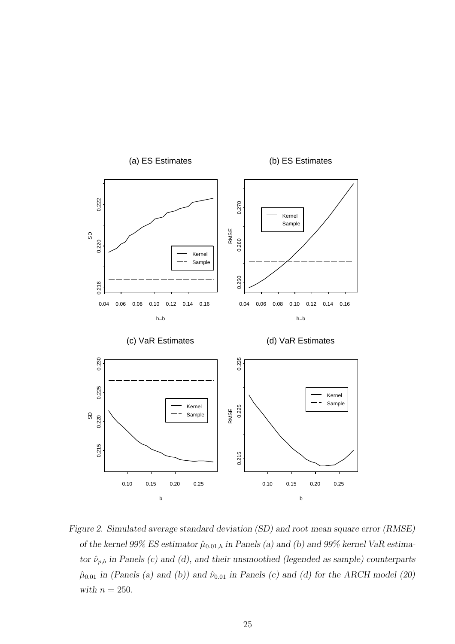

Figure 2. Simulated average standard deviation (SD) and root mean square error (RMSE) of the kernel 99% ES estimator  $\hat{\mu}_{0.01,h}$  in Panels (a) and (b) and 99% kernel VaR estimator  $\hat{\nu}_{p,b}$  in Panels (c) and (d), and their unsmoothed (legended as sample) counterparts  $\hat{\mu}_{0.01}$  in (Panels (a) and (b)) and  $\hat{\nu}_{0.01}$  in Panels (c) and (d) for the ARCH model (20) with  $n = 250$ .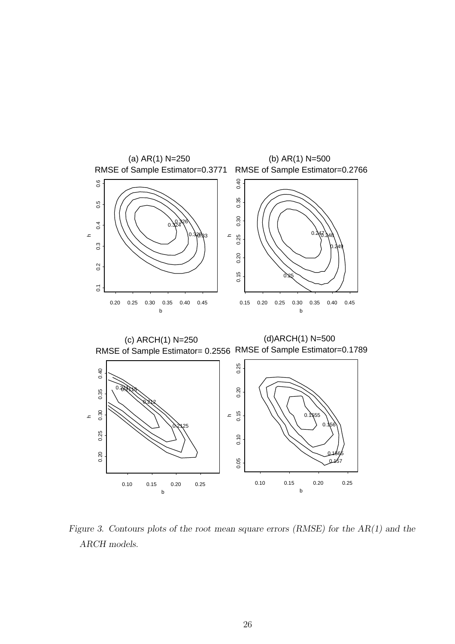

Figure 3. Contours plots of the root mean square errors (RMSE) for the AR(1) and the ARCH models.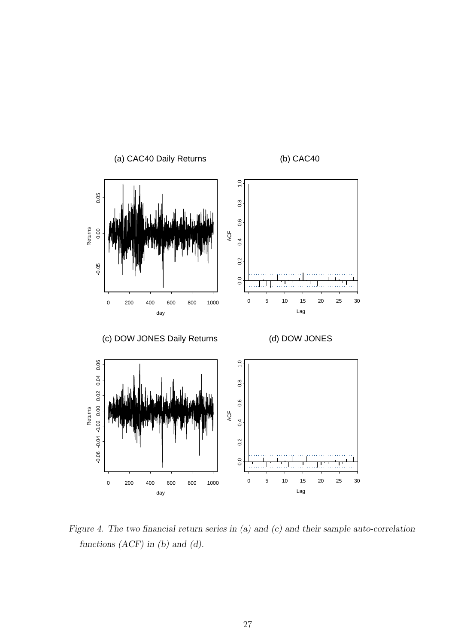

Figure 4. The two financial return series in (a) and (c) and their sample auto-correlation functions  $(ACF)$  in  $(b)$  and  $(d)$ .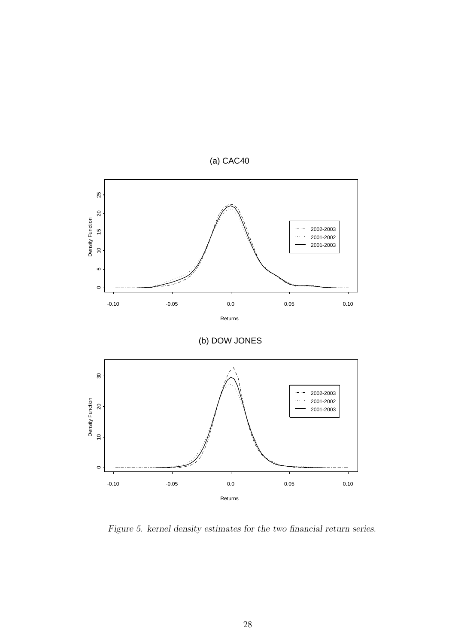

Figure 5. kernel density estimates for the two financial return series.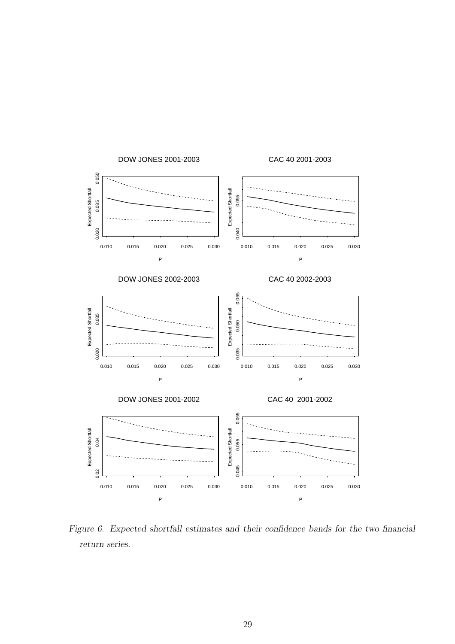

Figure 6. Expected shortfall estimates and their confidence bands for the two financial return series.